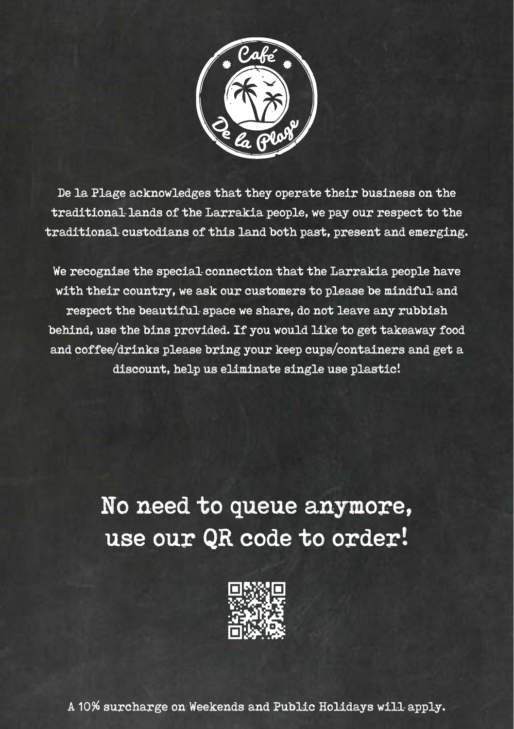

De la Plage acknowledges that they operate their business on the traditional lands of the Larrakia people, we pay our respect to the traditional custodians of this land both past, present and emerging.

We recognise the special connection that the Larrakia people have with their country, we ask our customers to please be mindful and respect the beautiful space we share, do not leave any rubbish behind, use the bins provided. If you would like to get takeaway food and coffee/drinks please bring your keep cups/containers and get a discount, help us eliminate single use plastic!

# No need to queue anymore, use our QR code to order!



A 10% surcharge on Weekends and Public Holidays will apply.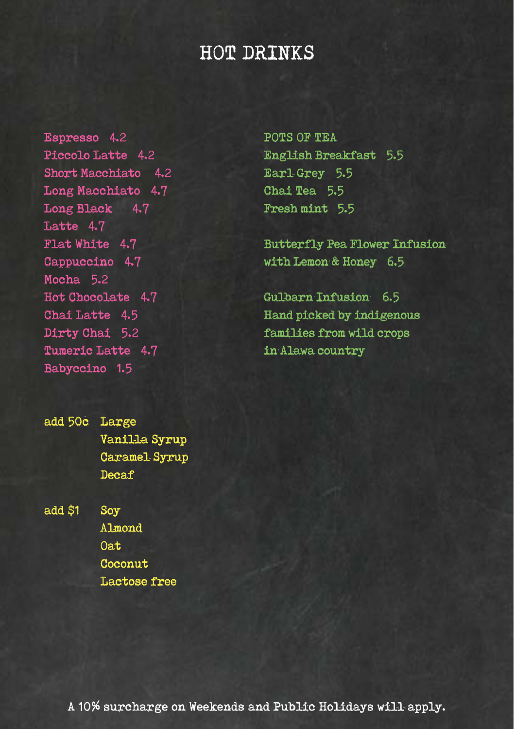# HOT DRINKS

Espresso 4.2 Piccolo Latte 4.2 Short Macchiato 4.2 Long Macchiato 4.7 Long Black 4.7 Latte 4.7 Flat White 4.7 Cappuccino 4.7 Mocha<sub>5.2</sub> Hot Chocolate 4.7 Chai Latte 4.5 Dirty Chai 5.2 Tumeric Latte 4.7 Babyccino 1.5

POTS OF TEA English Breakfast 5.5 Earl Grey 5.5 Chai Tea 5.5 Fresh mint 5.5

Butterfly Pea Flower Infusion with Lemon & Honey 6.5

Gulbarn Infusion 6.5 Hand picked by indigenous families from wild crops in Alawa country

add 50c Large Vanilla Syrup Caramel-Syrup Decaf

add \$1 Soy Almond Oat **Coconut** Lactose free

A 10% surcharge on Weekends and Public Holidays will apply.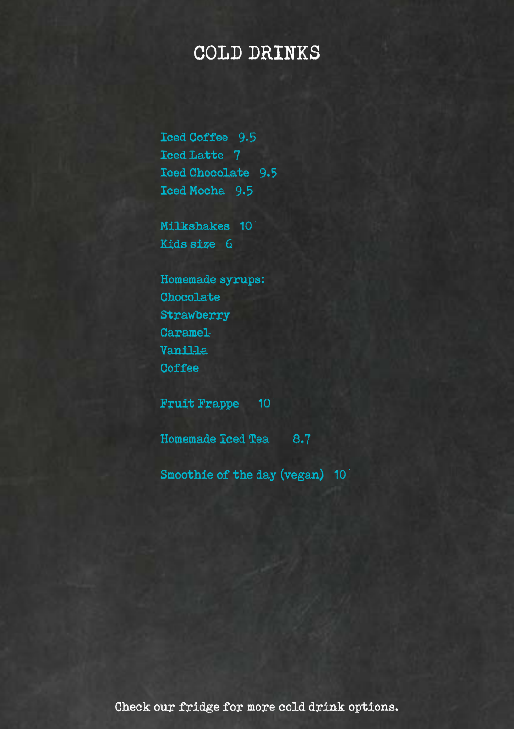# COLD DRINKS

Iced Coffee 9.5 Iced Latte 7 Iced Chocolate 9.5 Iced Mocha 9.5

Milkshakes 10 Kids size 6

Homemade syrups: Chocolate **Strawberry** Caramel Vanilla **Coffee** 

Fruit Frappe 10

Homemade Iced Tea 8.7

Smoothie of the day (vegan) 10

Check our fridge for more cold drink options.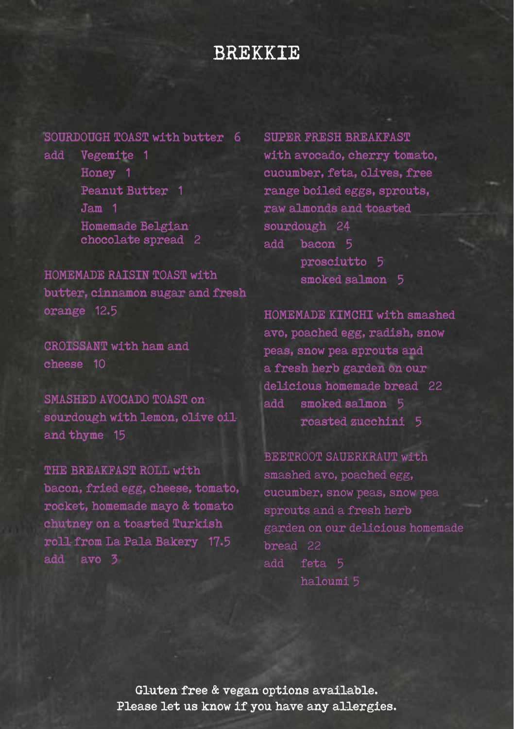### BREKKIE

#### SOURDOUGH TOAST with butter 6

add Vegemite 1 Honey 1 Peanut Butter 1 Jam 1 Homemade Belgian chocolate spread 2

HOMEMADE RAISIN TOAST with butter, cinnamon sugar and fresh orange 12.5

CROISSANT with ham and cheese 10

SMASHED AVOCADO TOAST on sourdough with lemon, olive oiland thyme 15

THE BREAKFAST ROLL with bacon, fried egg, cheese, tomato, rocket, homemade mayo & tomato chutney on a toasted Turkish roll from La Pala Bakery 17.5 add avo 3

SUPER FRESH BREAKFAST with avocado, cherry tomato, cucumber, feta, olives, free range boiled eggs, sprouts, raw almonds and toasted sourdough 24 add bacon 5 prosciutto 5 smoked salmon 5

HOMEMADE KIMCHI with smashed avo, poached egg, radish, snow peas, snow pea sprouts and a fresh herb garden on our delicious homemade bread 22 add smoked salmon 5 roasted zucchini 5

BEETROOT SAUERKRAUT with smashed avo, poached egg, cucumber, snow peas, snow pea sprouts and a fresh herb garden on our delicious homemade bread 22 add feta 5 haloumi 5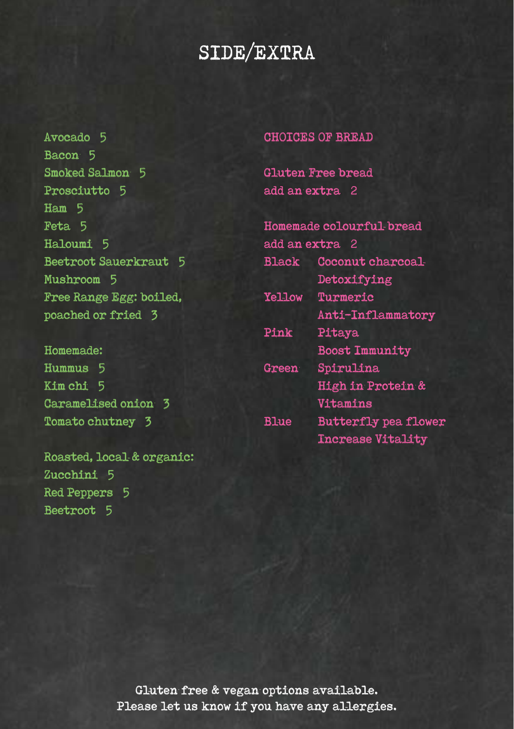# SIDE/EXTRA

Avocado 5 Bacon 5 Smoked Salmon 5 Prosciutto 5 Ham 5 Feta 5 Haloumi 5 Beetroot Sauerkraut 5 Mushroom 5 Free Range Egg: boiled, poached or fried 3

Homemade: Hummus 5 Kim chi 5 Caramelised onion 3 Tomato chutney 3

Roasted, local & organic: Zucchini 5 Red Peppers 5 Beetroot 5

#### CHOICES OF BREAD

Gluten Free bread add an extra 2

| Homemade colourful-bread |                             |
|--------------------------|-----------------------------|
| add an extra 2           |                             |
| <b>Black</b>             | Coconut charcoal-           |
|                          | Detoxifying                 |
| <b>Yellow</b>            | Turmeric                    |
|                          | Anti-Inflammatory           |
| Pink                     | Pitaya                      |
|                          | <b>Boost Immunity</b>       |
| <b>Green</b>             | Spirulina                   |
|                          | High in Protein &           |
|                          | Vitamins                    |
| <b>Blue</b>              | <b>Butterfly pea flower</b> |
|                          | <b>Increase Vitality</b>    |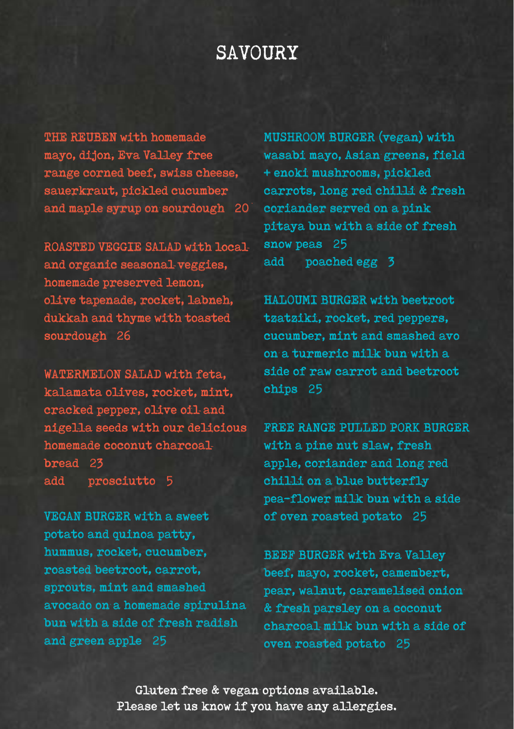# SAVOURY

THE REUBEN with homemade mayo, dijon, Eva Valley free range corned beef, swiss cheese, sauerkraut, pickled cucumber and maple syrup on sourdough 20

ROASTED VEGGIE SALAD with local and organic seasonal-veggies, homemade preserved lemon, olive tapenade, rocket, labneh, dukkah and thyme with toasted sourdough 26

WATERMELON SALAD with feta, kalamata olives, rocket, mint, cracked pepper, olive oil and nigella seeds with our delicious homemade coconut charcoal bread 23 add prosciutto 5

VEGAN BURGER with a sweet potato and quinoa patty, hummus, rocket, cucumber, roasted beetroot, carrot, sprouts, mint and smashed avocado on a homemade spirulina bun with a side of fresh radish and green apple 25

MUSHROOM BURGER (vegan) with wasabi mayo, Asian greens, field + enoki mushrooms, pickled carrots, long red chilli & fresh coriander served on a pink pitaya bun with a side of fresh snow peas 25 add poached egg 3

HALOUMI BURGER with beetroot tzatziki, rocket, red peppers, cucumber, mint and smashed avo on a turmeric milk bun with a side of raw carrot and beetroot chips 25

FREE RANGE PULLED PORK BURGER with a pine nut slaw, fresh apple, coriander and long red chilli on a blue butterfly pea-flower milk bun with a side of oven roasted potato 25

BEEF BURGER with Eva Valley beef, mayo, rocket, camembert, pear, walnut, caramelised onion & fresh parsley on a coconut charcoal milk bun with a side of oven roasted potato 25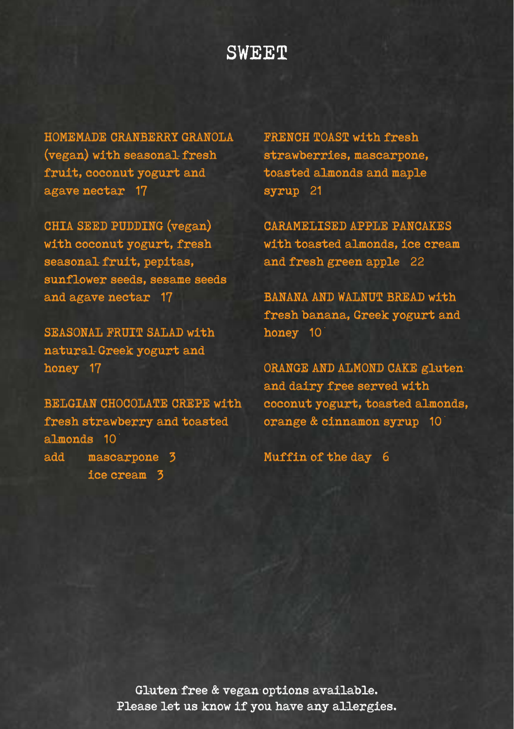### **SWEET**

HOMEMADE CRANBERRY GRANOLA (vegan) with seasonal fresh fruit, coconut yogurt and agave nectar 17

CHIA SEED PUDDING (vegan) with coconut yogurt, fresh seasonal fruit, pepitas, sunflower seeds, sesame seeds and agave nectar 17

SEASONAL FRUIT SALAD with natural-Greek yogurt and honey 17

BELGIAN CHOCOLATE CREPE with fresh strawberry and toasted almonds 10 add mascarpone 3 ice cream 3

FRENCH TOAST with fresh strawberries, mascarpone, toasted almonds and maple syrup 21

CARAMELISED APPLE PANCAKES with toasted almonds, ice cream and fresh green apple 22

BANANA AND WALNUT BREAD with fresh banana, Greek yogurt and honey 10

ORANGE AND ALMOND CAKE gluten and dairy free served with coconut yogurt, toasted almonds, orange & cinnamon syrup 10

Muffin of the day 6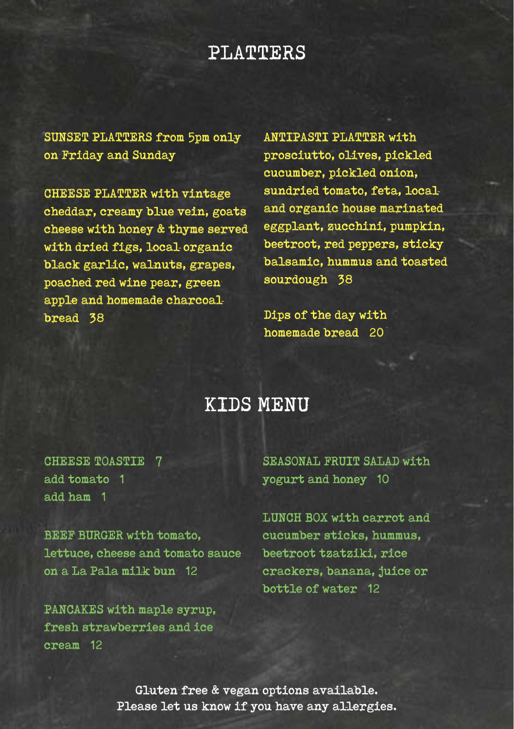### PLATTERS

SUNSET PLATTERS from 5pm only on Friday and Sunday

CHEESE PLATTER with vintage cheddar, creamy blue vein, goats cheese with honey & thyme served with dried figs, local organic black garlic, walnuts, grapes, poached red wine pear, green apple and homemade charcoal bread 38

ANTIPASTI PLATTER with prosciutto, olives, pickled cucumber, pickled onion, sundried tomato, feta, local and organic house marinated eggplant, zucchini, pumpkin, beetroot, red peppers, sticky balsamic, hummus and toasted sourdough 38

Dips of the day with homemade bread 20

### KIDS MENU

CHEESE TOASTIE 7 add tomato 1 add ham 1

BEEF BURGER with tomato, lettuce, cheese and tomato sauce on a La Pala milk bun 12

PANCAKES with maple syrup, fresh strawberries and ice cream 12

SEASONAL FRUIT SALAD with yogurt and honey 10

LUNCH BOX with carrot and cucumber sticks, hummus, beetroot tzatziki, rice crackers, banana, juice or bottle of water 12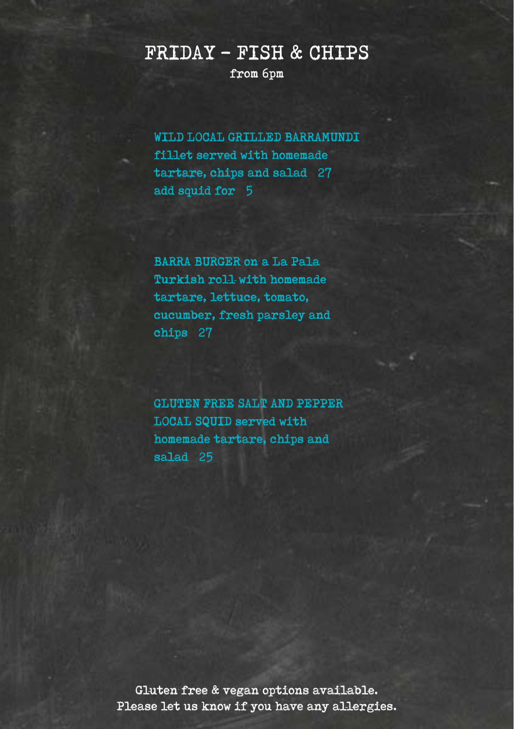# from 6pm FRIDAY - FISH & CHIPS

WILD LOCAL GRILLED BARRAMUNDI fillet served with homemade tartare, chips and salad 27 add squid for 5

BARRA BURGER on a La Pala Turkish roll-with homemade tartare, lettuce, tomato, cucumber, fresh parsley and chips 27

GLUTEN FREE SALT AND PEPPER LOCAL SQUID served with homemade tartare, chips and salad 25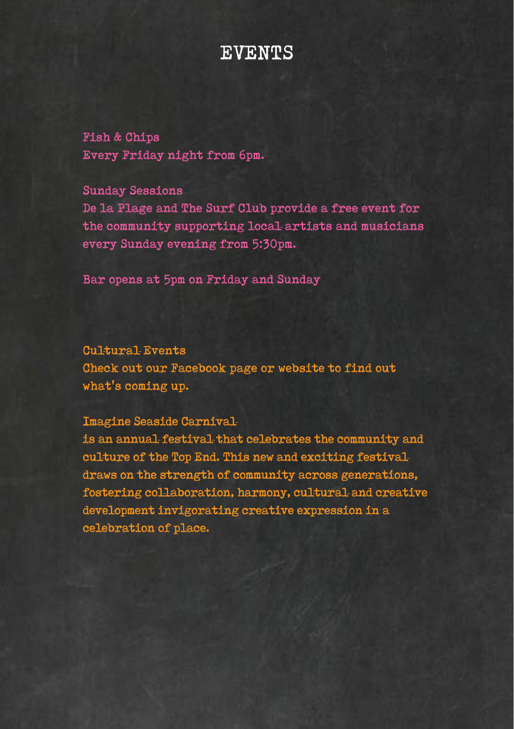#### EVENTS

Fish & Chips Every Friday night from 6pm.

Sunday Sessions De la Plage and The Surf Club provide a free event for the community supporting local artists and musicians every Sunday evening from 5:30pm.

Bar opens at 5pm on Friday and Sunday

Cultural Events Check out our Facebook page or website to find out what's coming up.

Imagine Seaside Carnival

is an annual festival that celebrates the community and culture of the Top End. This new and exciting festival draws on the strength of community across generations, fostering collaboration, harmony, cultural and creative development invigorating creative expression in a celebration of place.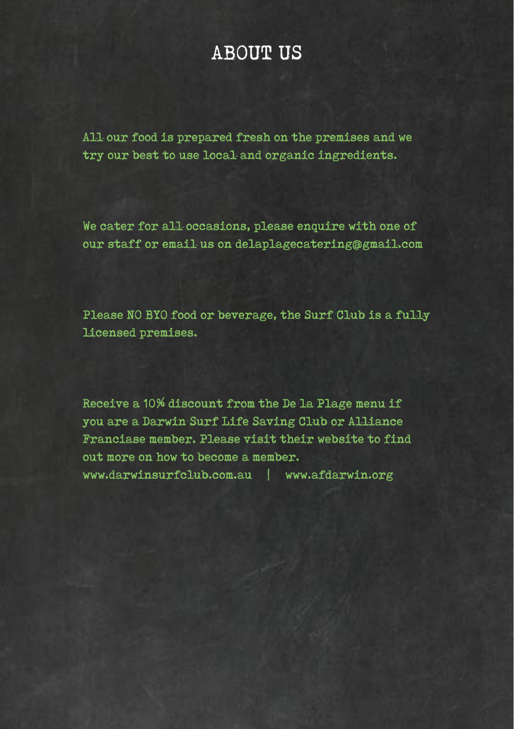## ABOUT US

All-our food is prepared fresh on the premises and we try our best to use local and organic ingredients.

We cater for all occasions, please enquire with one of our staff or email us on delaplagecatering@gmail.com

Please NO BYO food or beverage, the Surf Club is a fully licensed premises.

Receive a 10% discount from the De la Plage menu if you are a Darwin Surf Life Saving Club or Alliance Franciase member. Please visit their website to find out more on how to become a member. www.darwinsurfclub.com.au | www.afdarwin.org